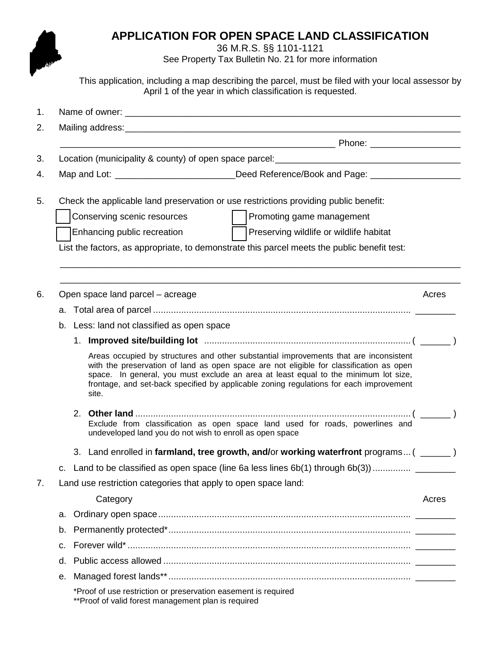## **APPLICATION FOR OPEN SPACE LAND CLASSIFICATION**

36 M.R.S. §§ 1101-1121

See Property Tax Bulletin No. 21 for more information

This application, including a map describing the parcel, must be filed with your local assessor by April 1 of the year in which classification is requested.

| 1. |    |                                                                                                                                                                                                                                                                                                                                                                            |       |  |  |  |
|----|----|----------------------------------------------------------------------------------------------------------------------------------------------------------------------------------------------------------------------------------------------------------------------------------------------------------------------------------------------------------------------------|-------|--|--|--|
| 2. |    |                                                                                                                                                                                                                                                                                                                                                                            |       |  |  |  |
|    |    |                                                                                                                                                                                                                                                                                                                                                                            |       |  |  |  |
| 3. |    |                                                                                                                                                                                                                                                                                                                                                                            |       |  |  |  |
| 4. |    | Map and Lot: __________________________Deed Reference/Book and Page: __________________                                                                                                                                                                                                                                                                                    |       |  |  |  |
| 5. |    | Check the applicable land preservation or use restrictions providing public benefit:                                                                                                                                                                                                                                                                                       |       |  |  |  |
|    |    | Promoting game management<br>Conserving scenic resources                                                                                                                                                                                                                                                                                                                   |       |  |  |  |
|    |    | Preserving wildlife or wildlife habitat<br>Enhancing public recreation                                                                                                                                                                                                                                                                                                     |       |  |  |  |
|    |    | List the factors, as appropriate, to demonstrate this parcel meets the public benefit test:                                                                                                                                                                                                                                                                                |       |  |  |  |
|    |    |                                                                                                                                                                                                                                                                                                                                                                            |       |  |  |  |
| 6. |    | Open space land parcel - acreage                                                                                                                                                                                                                                                                                                                                           | Acres |  |  |  |
|    |    |                                                                                                                                                                                                                                                                                                                                                                            |       |  |  |  |
|    |    | b. Less: land not classified as open space                                                                                                                                                                                                                                                                                                                                 |       |  |  |  |
|    |    | Areas occupied by structures and other substantial improvements that are inconsistent<br>with the preservation of land as open space are not eligible for classification as open<br>space. In general, you must exclude an area at least equal to the minimum lot size,<br>frontage, and set-back specified by applicable zoning regulations for each improvement<br>site. |       |  |  |  |
|    |    | Exclude from classification as open space land used for roads, powerlines and<br>undeveloped land you do not wish to enroll as open space                                                                                                                                                                                                                                  |       |  |  |  |
|    |    | 3. Land enrolled in farmland, tree growth, and/or working waterfront programs ( ______)                                                                                                                                                                                                                                                                                    |       |  |  |  |
|    |    |                                                                                                                                                                                                                                                                                                                                                                            |       |  |  |  |
| 7. |    | Land use restriction categories that apply to open space land:                                                                                                                                                                                                                                                                                                             |       |  |  |  |
|    |    | Category                                                                                                                                                                                                                                                                                                                                                                   | Acres |  |  |  |
|    | a. |                                                                                                                                                                                                                                                                                                                                                                            |       |  |  |  |
|    | b. |                                                                                                                                                                                                                                                                                                                                                                            |       |  |  |  |
|    | C. |                                                                                                                                                                                                                                                                                                                                                                            |       |  |  |  |
|    | d. |                                                                                                                                                                                                                                                                                                                                                                            |       |  |  |  |
|    | е. |                                                                                                                                                                                                                                                                                                                                                                            |       |  |  |  |
|    |    | *Proof of use restriction or preservation easement is required<br>** Proof of valid forest management plan is required                                                                                                                                                                                                                                                     |       |  |  |  |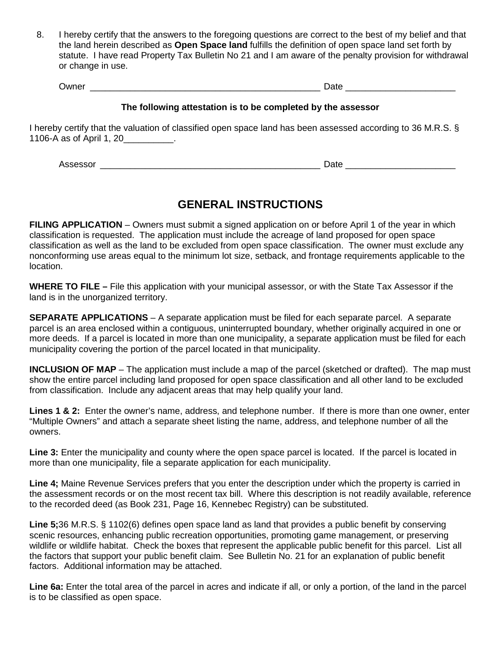8. I hereby certify that the answers to the foregoing questions are correct to the best of my belief and that the land herein described as **Open Space land** fulfills the definition of open space land set forth by statute. I have read Property Tax Bulletin No 21 and I am aware of the penalty provision for withdrawal or change in use.

| )wne<br>_______ |                      | $\leftarrow$<br>---- |                      |
|-----------------|----------------------|----------------------|----------------------|
|                 | ____________________ |                      | ____________________ |

## **The following attestation is to be completed by the assessor**

I hereby certify that the valuation of classified open space land has been assessed according to 36 M.R.S. § 1106-A as of April 1, 20\_\_\_\_\_\_\_\_\_\_.

Assessor \_\_\_\_\_\_\_\_\_\_\_\_\_\_\_\_\_\_\_\_\_\_\_\_\_\_\_\_\_\_\_\_\_\_\_\_\_\_\_\_\_\_\_\_ Date \_\_\_\_\_\_\_\_\_\_\_\_\_\_\_\_\_\_\_\_\_\_

## **GENERAL INSTRUCTIONS**

**FILING APPLICATION** – Owners must submit a signed application on or before April 1 of the year in which classification is requested. The application must include the acreage of land proposed for open space classification as well as the land to be excluded from open space classification. The owner must exclude any nonconforming use areas equal to the minimum lot size, setback, and frontage requirements applicable to the location.

**WHERE TO FILE –** File this application with your municipal assessor, or with the State Tax Assessor if the land is in the unorganized territory.

**SEPARATE APPLICATIONS** – A separate application must be filed for each separate parcel. A separate parcel is an area enclosed within a contiguous, uninterrupted boundary, whether originally acquired in one or more deeds. If a parcel is located in more than one municipality, a separate application must be filed for each municipality covering the portion of the parcel located in that municipality.

**INCLUSION OF MAP** – The application must include a map of the parcel (sketched or drafted). The map must show the entire parcel including land proposed for open space classification and all other land to be excluded from classification. Include any adjacent areas that may help qualify your land.

**Lines 1 & 2:** Enter the owner's name, address, and telephone number. If there is more than one owner, enter "Multiple Owners" and attach a separate sheet listing the name, address, and telephone number of all the owners.

**Line 3:** Enter the municipality and county where the open space parcel is located. If the parcel is located in more than one municipality, file a separate application for each municipality.

**Line 4;** Maine Revenue Services prefers that you enter the description under which the property is carried in the assessment records or on the most recent tax bill. Where this description is not readily available, reference to the recorded deed (as Book 231, Page 16, Kennebec Registry) can be substituted.

**Line 5;**36 M.R.S. § 1102(6) defines open space land as land that provides a public benefit by conserving scenic resources, enhancing public recreation opportunities, promoting game management, or preserving wildlife or wildlife habitat. Check the boxes that represent the applicable public benefit for this parcel. List all the factors that support your public benefit claim. See Bulletin No. 21 for an explanation of public benefit factors. Additional information may be attached.

**Line 6a:** Enter the total area of the parcel in acres and indicate if all, or only a portion, of the land in the parcel is to be classified as open space.